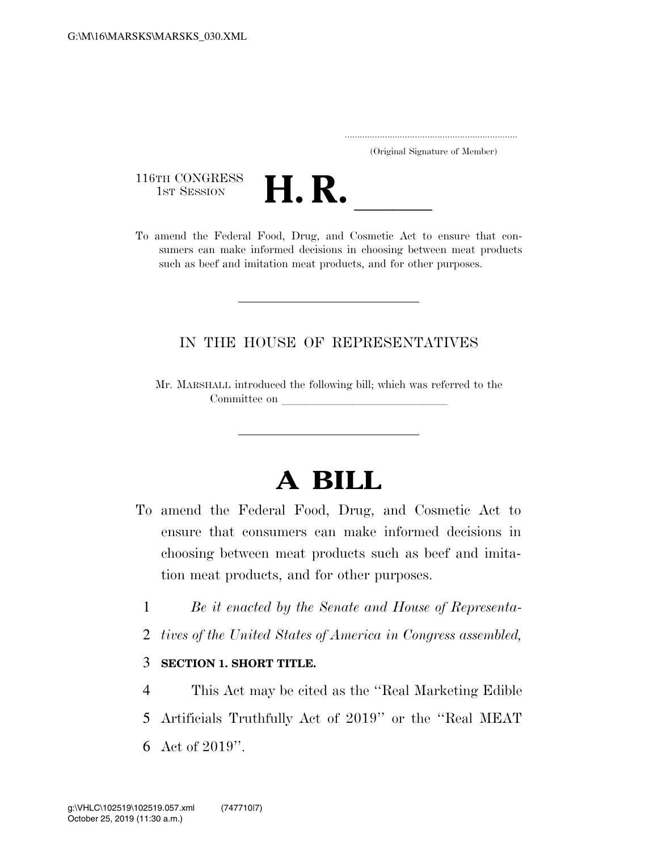..................................................................... (Original Signature of Member)

116TH CONGRESS<br>1st Session



116TH CONGRESS<br>1st SESSION **H. R.** <u>Indice</u> Manual Cosmetic Act to ensure that con-<br>To amend the Federal Food, Drug, and Cosmetic Act to ensure that consumers can make informed decisions in choosing between meat products such as beef and imitation meat products, and for other purposes.

## IN THE HOUSE OF REPRESENTATIVES

Mr. MARSHALL introduced the following bill; which was referred to the Committee on

# **A BILL**

- To amend the Federal Food, Drug, and Cosmetic Act to ensure that consumers can make informed decisions in choosing between meat products such as beef and imitation meat products, and for other purposes.
	- 1 *Be it enacted by the Senate and House of Representa-*
	- 2 *tives of the United States of America in Congress assembled,*

#### 3 **SECTION 1. SHORT TITLE.**

4 This Act may be cited as the ''Real Marketing Edible 5 Artificials Truthfully Act of 2019'' or the ''Real MEAT 6 Act of 2019''.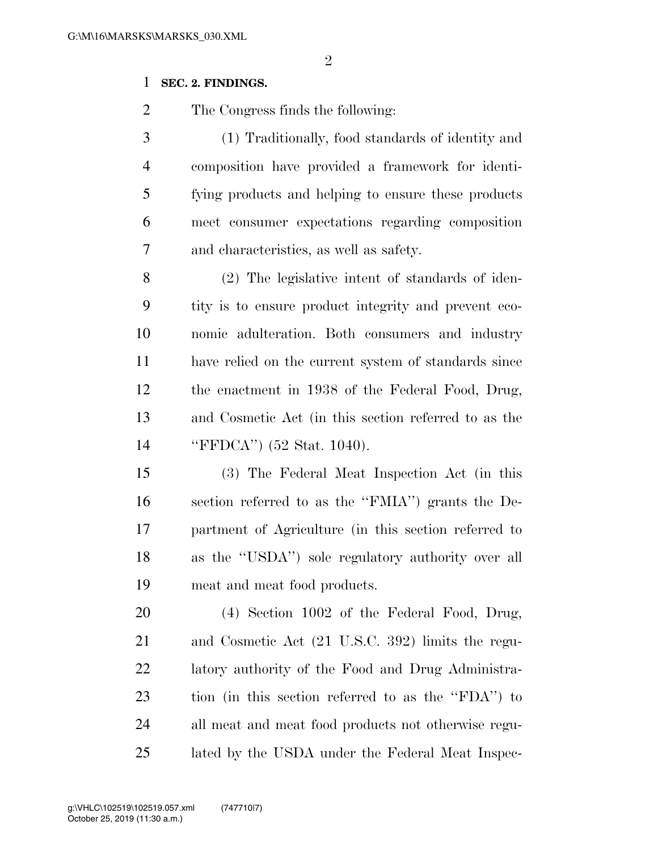## **SEC. 2. FINDINGS.**

The Congress finds the following:

 (1) Traditionally, food standards of identity and composition have provided a framework for identi- fying products and helping to ensure these products meet consumer expectations regarding composition and characteristics, as well as safety.

 (2) The legislative intent of standards of iden- tity is to ensure product integrity and prevent eco- nomic adulteration. Both consumers and industry have relied on the current system of standards since the enactment in 1938 of the Federal Food, Drug, and Cosmetic Act (in this section referred to as the ''FFDCA'') (52 Stat. 1040).

 (3) The Federal Meat Inspection Act (in this section referred to as the ''FMIA'') grants the De- partment of Agriculture (in this section referred to as the ''USDA'') sole regulatory authority over all meat and meat food products.

 (4) Section 1002 of the Federal Food, Drug, and Cosmetic Act (21 U.S.C. 392) limits the regu- latory authority of the Food and Drug Administra- tion (in this section referred to as the ''FDA'') to all meat and meat food products not otherwise regu-lated by the USDA under the Federal Meat Inspec-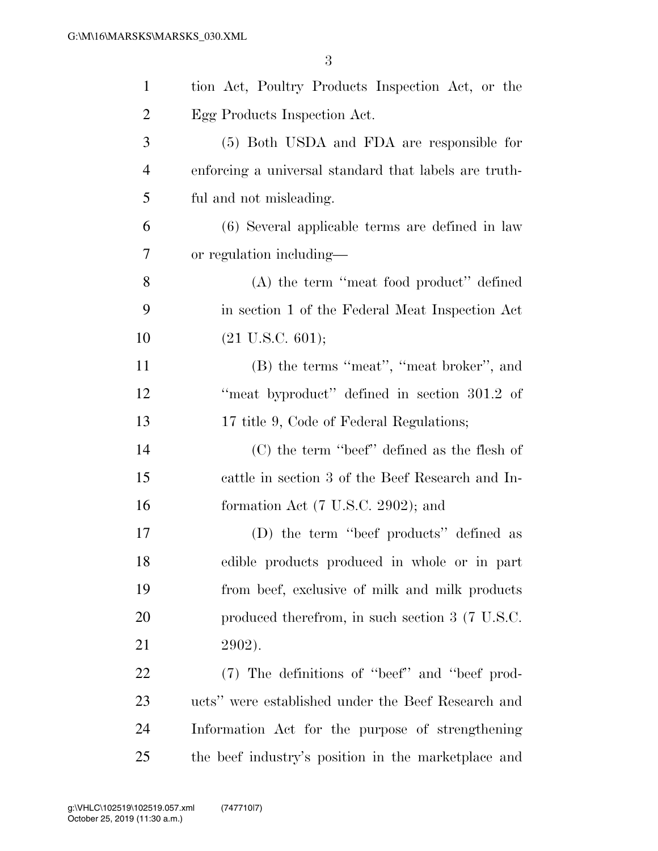| $\mathbf{1}$   | tion Act, Poultry Products Inspection Act, or the     |
|----------------|-------------------------------------------------------|
| $\overline{c}$ | Egg Products Inspection Act.                          |
| 3              | (5) Both USDA and FDA are responsible for             |
| $\overline{4}$ | enforcing a universal standard that labels are truth- |
| 5              | ful and not misleading.                               |
| 6              | (6) Several applicable terms are defined in law       |
| 7              | or regulation including—                              |
| 8              | (A) the term "meat food product" defined              |
| 9              | in section 1 of the Federal Meat Inspection Act       |
| 10             | $(21 \text{ U.S.C. } 601);$                           |
| 11             | (B) the terms "meat", "meat broker", and              |
| 12             | "meat byproduct" defined in section 301.2 of          |
| 13             | 17 title 9, Code of Federal Regulations;              |
| 14             | $(C)$ the term "beef" defined as the flesh of         |
| 15             | cattle in section 3 of the Beef Research and In-      |
| 16             | formation Act $(7 \text{ U.S.C. } 2902)$ ; and        |
| 17             | (D) the term "beef products" defined as               |
| 18             | edible products produced in whole or in part          |
| 19             | from beef, exclusive of milk and milk products        |
| 20             | produced therefrom, in such section 3 (7 U.S.C.       |
| 21             | 2902).                                                |
| 22             | (7) The definitions of "beef" and "beef prod-         |
| 23             | ucts" were established under the Beef Research and    |
| 24             | Information Act for the purpose of strengthening      |
| 25             | the beef industry's position in the marketplace and   |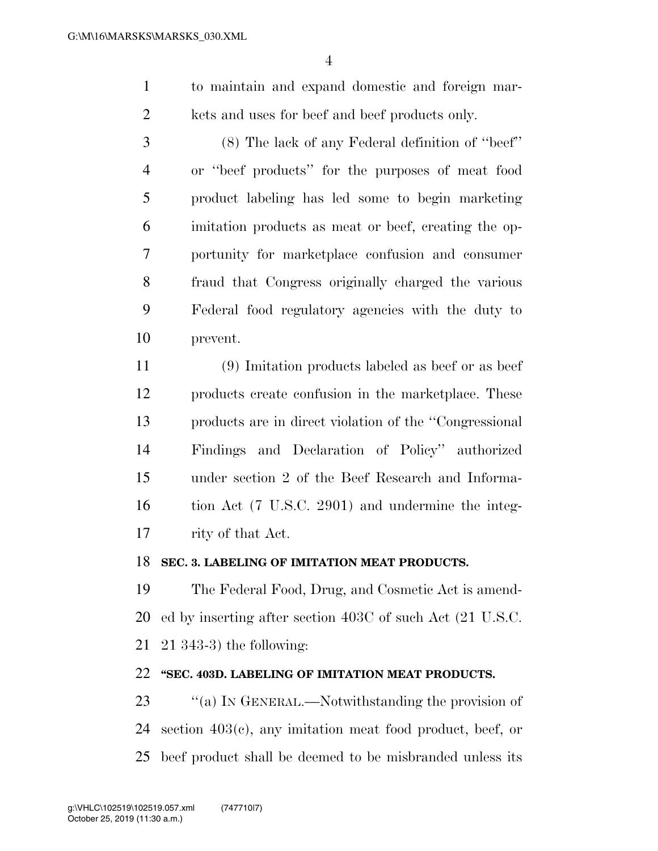to maintain and expand domestic and foreign mar-2 kets and uses for beef and beef products only.

 (8) The lack of any Federal definition of ''beef'' or ''beef products'' for the purposes of meat food product labeling has led some to begin marketing imitation products as meat or beef, creating the op- portunity for marketplace confusion and consumer fraud that Congress originally charged the various Federal food regulatory agencies with the duty to prevent.

 (9) Imitation products labeled as beef or as beef products create confusion in the marketplace. These products are in direct violation of the ''Congressional Findings and Declaration of Policy'' authorized under section 2 of the Beef Research and Informa- tion Act (7 U.S.C. 2901) and undermine the integ-rity of that Act.

#### **SEC. 3. LABELING OF IMITATION MEAT PRODUCTS.**

 The Federal Food, Drug, and Cosmetic Act is amend- ed by inserting after section 403C of such Act (21 U.S.C. 21 343-3) the following:

## **''SEC. 403D. LABELING OF IMITATION MEAT PRODUCTS.**

23 "(a) In GENERAL.—Notwithstanding the provision of section 403(c), any imitation meat food product, beef, or beef product shall be deemed to be misbranded unless its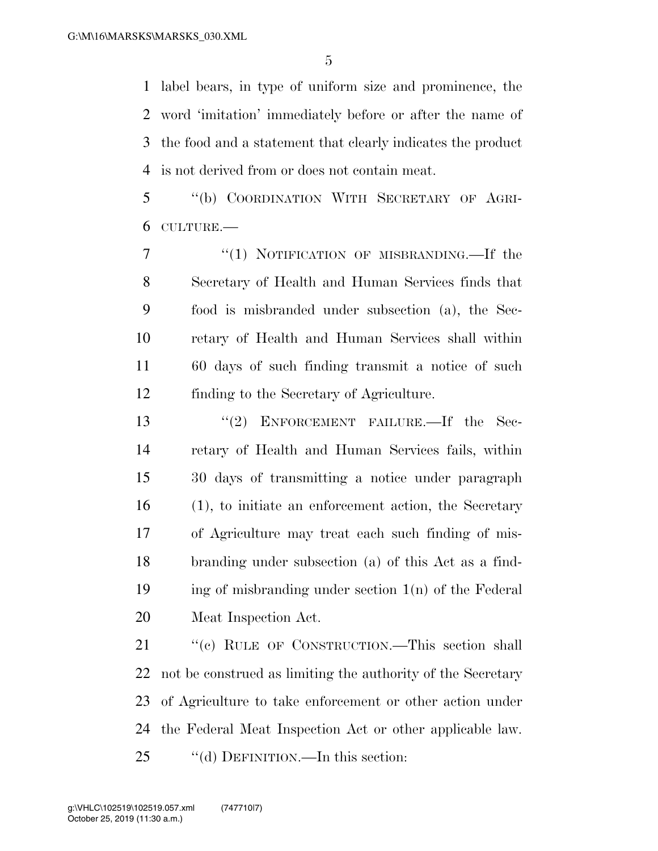label bears, in type of uniform size and prominence, the word 'imitation' immediately before or after the name of the food and a statement that clearly indicates the product is not derived from or does not contain meat.

 ''(b) COORDINATION WITH SECRETARY OF AGRI-CULTURE.—

7 "(1) NOTIFICATION OF MISBRANDING.—If the Secretary of Health and Human Services finds that food is misbranded under subsection (a), the Sec- retary of Health and Human Services shall within 60 days of such finding transmit a notice of such finding to the Secretary of Agriculture.

13 "(2) ENFORCEMENT FAILURE.—If the Sec- retary of Health and Human Services fails, within 30 days of transmitting a notice under paragraph (1), to initiate an enforcement action, the Secretary of Agriculture may treat each such finding of mis- branding under subsection (a) of this Act as a find-19 ing of misbranding under section  $1(n)$  of the Federal Meat Inspection Act.

21 "(c) RULE OF CONSTRUCTION.—This section shall not be construed as limiting the authority of the Secretary of Agriculture to take enforcement or other action under the Federal Meat Inspection Act or other applicable law. 25 "(d) DEFINITION.—In this section: